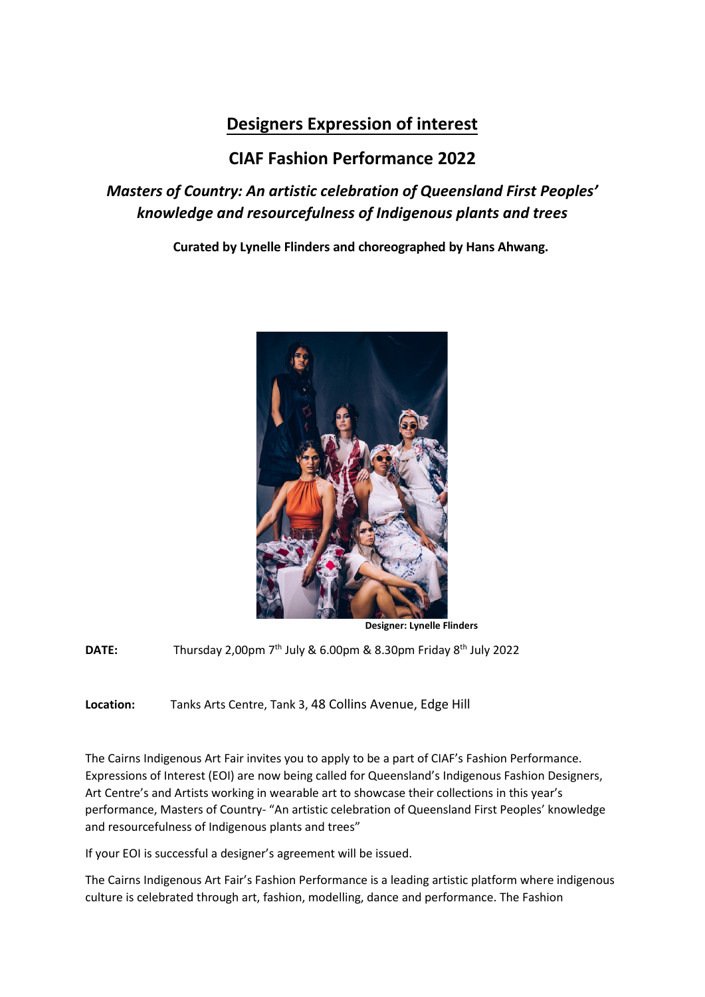# **Designers Expression of interest**

## **CIAF Fashion Performance 2022**

## *Masters of Country: An artistic celebration of Queensland First Peoples' knowledge and resourcefulness of Indigenous plants and trees*

**Curated by Lynelle Flinders and choreographed by Hans Ahwang.**



**Designer: Lynelle Flinders**

**DATE:** Thursday 2,00pm 7<sup>th</sup> July & 6.00pm & 8.30pm Friday 8<sup>th</sup> July 2022

**Location:** Tanks Arts Centre, Tank 3, 48 Collins Avenue, Edge Hill

The Cairns Indigenous Art Fair invites you to apply to be a part of CIAF's Fashion Performance. Expressions of Interest (EOI) are now being called for Queensland's Indigenous Fashion Designers, Art Centre's and Artists working in wearable art to showcase their collections in this year's performance, Masters of Country- "An artistic celebration of Queensland First Peoples' knowledge and resourcefulness of Indigenous plants and trees"

If your EOI is successful a designer's agreement will be issued.

The Cairns Indigenous Art Fair's Fashion Performance is a leading artistic platform where indigenous culture is celebrated through art, fashion, modelling, dance and performance. The Fashion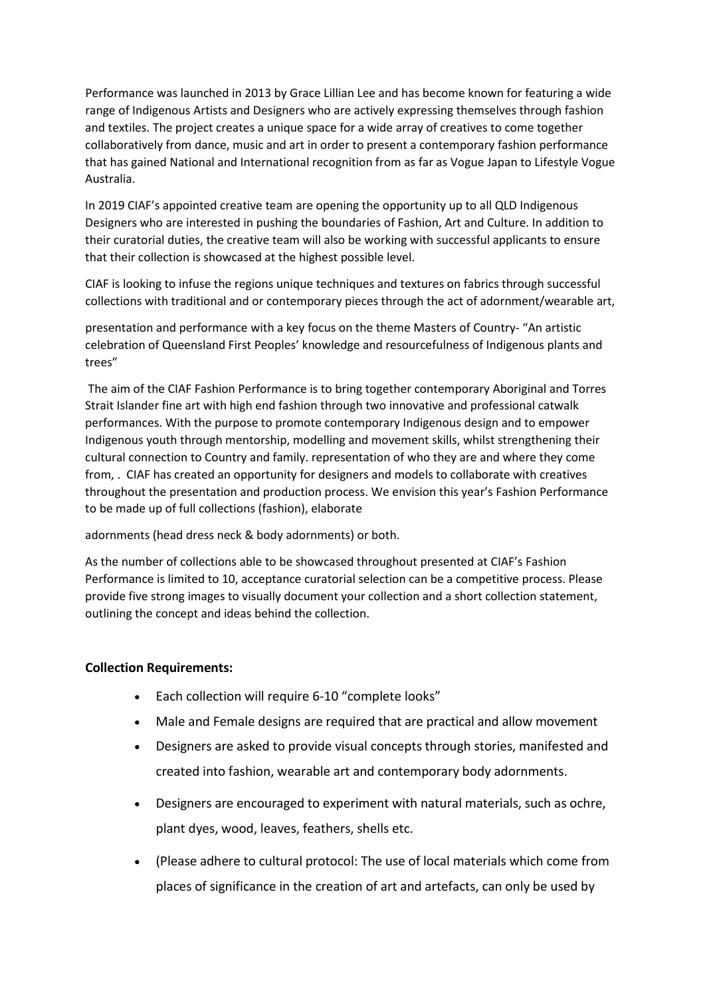Performance was launched in 2013 by Grace Lillian Lee and has become known for featuring a wide range of Indigenous Artists and Designers who are actively expressing themselves through fashion and textiles. The project creates a unique space for a wide array of creatives to come together collaboratively from dance, music and art in order to present a contemporary fashion performance that has gained National and International recognition from as far as Vogue Japan to Lifestyle Vogue Australia.

In 2019 CIAF's appointed creative team are opening the opportunity up to all QLD Indigenous Designers who are interested in pushing the boundaries of Fashion, Art and Culture. In addition to their curatorial duties, the creative team will also be working with successful applicants to ensure that their collection is showcased at the highest possible level.

CIAF is looking to infuse the regions unique techniques and textures on fabrics through successful collections with traditional and or contemporary pieces through the act of adornment/wearable art,

presentation and performance with a key focus on the theme Masters of Country- "An artistic celebration of Queensland First Peoples' knowledge and resourcefulness of Indigenous plants and trees"

The aim of the CIAF Fashion Performance is to bring together contemporary Aboriginal and Torres Strait Islander fine art with high end fashion through two innovative and professional catwalk performances. With the purpose to promote contemporary Indigenous design and to empower Indigenous youth through mentorship, modelling and movement skills, whilst strengthening their cultural connection to Country and family. representation of who they are and where they come from, . CIAF has created an opportunity for designers and models to collaborate with creatives throughout the presentation and production process. We envision this year's Fashion Performance to be made up of full collections (fashion), elaborate

adornments (head dress neck & body adornments) or both.

As the number of collections able to be showcased throughout presented at CIAF's Fashion Performance is limited to 10, acceptance curatorial selection can be a competitive process. Please provide five strong images to visually document your collection and a short collection statement, outlining the concept and ideas behind the collection.

### **Collection Requirements:**

- Each collection will require 6-10 "complete looks"
- Male and Female designs are required that are practical and allow movement
- Designers are asked to provide visual concepts through stories, manifested and created into fashion, wearable art and contemporary body adornments.
- Designers are encouraged to experiment with natural materials, such as ochre, plant dyes, wood, leaves, feathers, shells etc.
- (Please adhere to cultural protocol: The use of local materials which come from places of significance in the creation of art and artefacts, can only be used by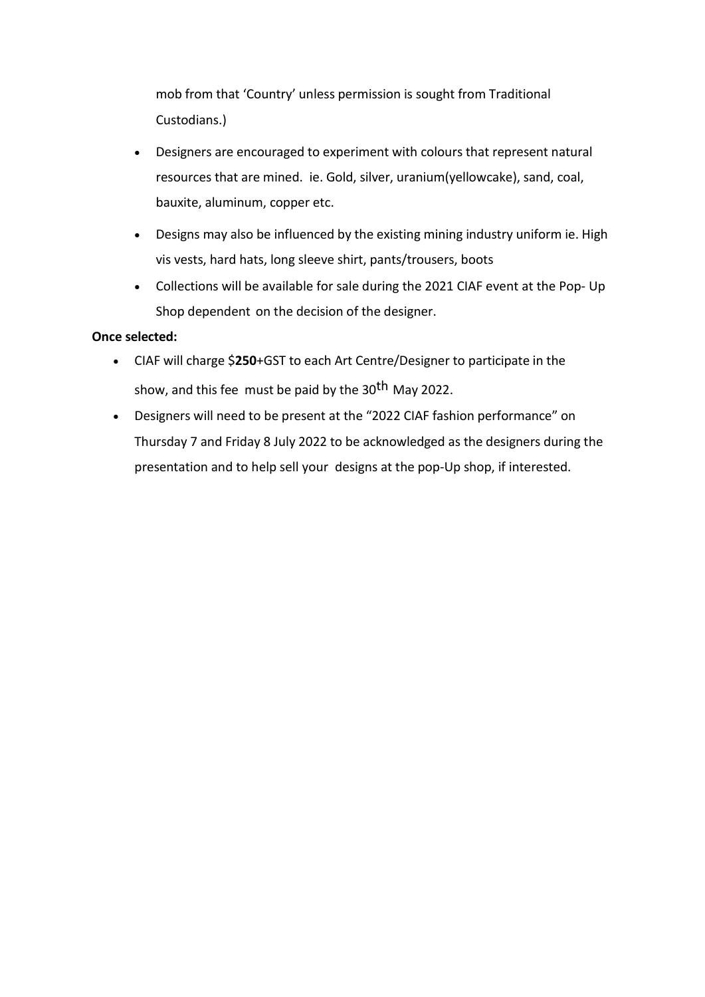mob from that 'Country' unless permission is sought from Traditional Custodians.)

- Designers are encouraged to experiment with colours that represent natural resources that are mined. ie. Gold, silver, uranium(yellowcake), sand, coal, bauxite, aluminum, copper etc.
- Designs may also be influenced by the existing mining industry uniform ie. High vis vests, hard hats, long sleeve shirt, pants/trousers, boots
- Collections will be available for sale during the 2021 CIAF event at the Pop- Up Shop dependent on the decision of the designer.

### **Once selected:**

- CIAF will charge \$**250**+GST to each Art Centre/Designer to participate in the show, and this fee must be paid by the 30<sup>th</sup> May 2022.
- Designers will need to be present at the "2022 CIAF fashion performance" on Thursday 7 and Friday 8 July 2022 to be acknowledged as the designers during the presentation and to help sell your designs at the pop-Up shop, if interested.